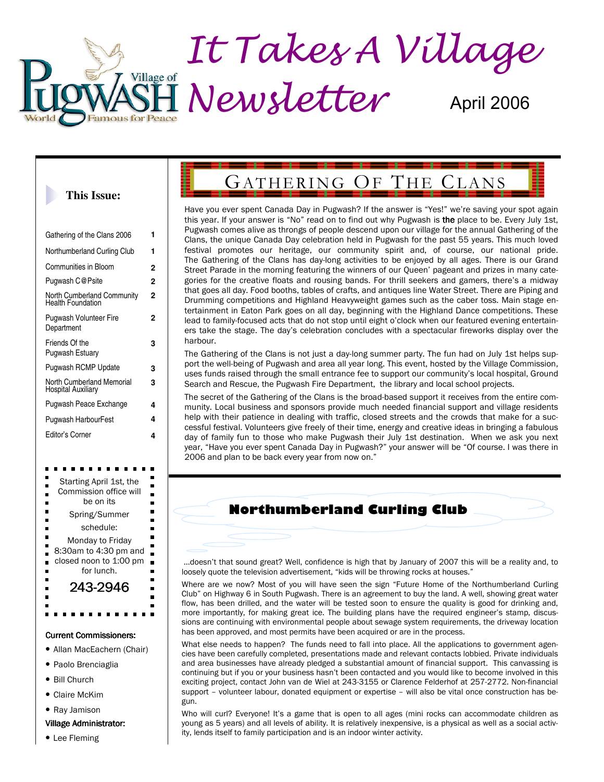

#### **This Issue:**

| Gathering of the Clans 2006                     | 1 |
|-------------------------------------------------|---|
| Northumberland Curling Club                     | 1 |
| Communities in Bloom                            | 2 |
| Pugwash C@Psite                                 | 2 |
| North Cumberland Community<br>Health Foundation | 2 |
| <b>Pugwash Volunteer Fire</b><br>Department     | 2 |
| Friends Of the<br>Pugwash Estuary               | 3 |
| <b>Pugwash RCMP Update</b>                      | 3 |
| North Cumberland Memorial<br>Hospital Auxiliary | 3 |
| Pugwash Peace Exchange                          | 4 |
| Pugwash HarbourFest                             | 4 |
| Editor's Corner                                 | 4 |

| Starting April 1st, the                                                                                                         |
|---------------------------------------------------------------------------------------------------------------------------------|
| Commission office will<br>be on its<br>$\blacksquare$                                                                           |
| ۳<br>Spring/Summer<br>$\blacksquare$                                                                                            |
| schedule:<br>ō                                                                                                                  |
| Monday to Friday<br>$\frac{1}{2}$<br>$\ddot{\phantom{a}}$<br>8:30am to 4:30 pm and<br>closed noon to 1:00 pm<br>ä<br>for lunch. |
| 243-2946                                                                                                                        |
|                                                                                                                                 |
|                                                                                                                                 |
|                                                                                                                                 |

#### Current Commissioners:

- Allan MacEachern (Chair)
- Paolo Brenciaglia
- Bill Church
- Claire McKim
- Ray Jamison

#### Village Administrator: Village Administrator:

• Lee Fleming

# GATHERING OF THE CLANS

Have you ever spent Canada Day in Pugwash? If the answer is "Yes!" we're saving your spot again this year. If your answer is "No" read on to find out why Pugwash is the place to be. Every July 1st, Pugwash comes alive as throngs of people descend upon our village for the annual Gathering of the Clans, the unique Canada Day celebration held in Pugwash for the past 55 years. This much loved festival promotes our heritage, our community spirit and, of course, our national pride. The Gathering of the Clans has day-long activities to be enjoyed by all ages. There is our Grand Street Parade in the morning featuring the winners of our Queen' pageant and prizes in many categories for the creative floats and rousing bands. For thrill seekers and gamers, there's a midway that goes all day. Food booths, tables of crafts, and antiques line Water Street. There are Piping and Drumming competitions and Highland Heavyweight games such as the caber toss. Main stage entertainment in Eaton Park goes on all day, beginning with the Highland Dance competitions. These lead to family-focused acts that do not stop until eight o'clock when our featured evening entertainers take the stage. The day's celebration concludes with a spectacular fireworks display over the harbour.

The Gathering of the Clans is not just a day-long summer party. The fun had on July 1st helps support the well-being of Pugwash and area all year long. This event, hosted by the Village Commission, uses funds raised through the small entrance fee to support our community's local hospital, Ground Search and Rescue, the Pugwash Fire Department, the library and local school projects.

The secret of the Gathering of the Clans is the broad-based support it receives from the entire community. Local business and sponsors provide much needed financial support and village residents help with their patience in dealing with traffic, closed streets and the crowds that make for a successful festival. Volunteers give freely of their time, energy and creative ideas in bringing a fabulous day of family fun to those who make Pugwash their July 1st destination. When we ask you next year, "Have you ever spent Canada Day in Pugwash?" your answer will be "Of course. I was there in 2006 and plan to be back every year from now on."

### **Northumberland Curling Club**

 …doesn't that sound great? Well, confidence is high that by January of 2007 this will be a reality and, to loosely quote the television advertisement, "kids will be throwing rocks at houses."

Where are we now? Most of you will have seen the sign "Future Home of the Northumberland Curling Club" on Highway 6 in South Pugwash. There is an agreement to buy the land. A well, showing great water flow, has been drilled, and the water will be tested soon to ensure the quality is good for drinking and, more importantly, for making great ice. The building plans have the required engineer's stamp, discussions are continuing with environmental people about sewage system requirements, the driveway location has been approved, and most permits have been acquired or are in the process.

What else needs to happen? The funds need to fall into place. All the applications to government agencies have been carefully completed, presentations made and relevant contacts lobbied. Private individuals and area businesses have already pledged a substantial amount of financial support. This canvassing is continuing but if you or your business hasn't been contacted and you would like to become involved in this exciting project, contact John van de Wiel at 243-3155 or Clarence Felderhof at 257-2772. Non-financial support – volunteer labour, donated equipment or expertise – will also be vital once construction has begun.

Who will curl? Everyone! It's a game that is open to all ages (mini rocks can accommodate children as young as 5 years) and all levels of ability. It is relatively inexpensive, is a physical as well as a social activity, lends itself to family participation and is an indoor winter activity.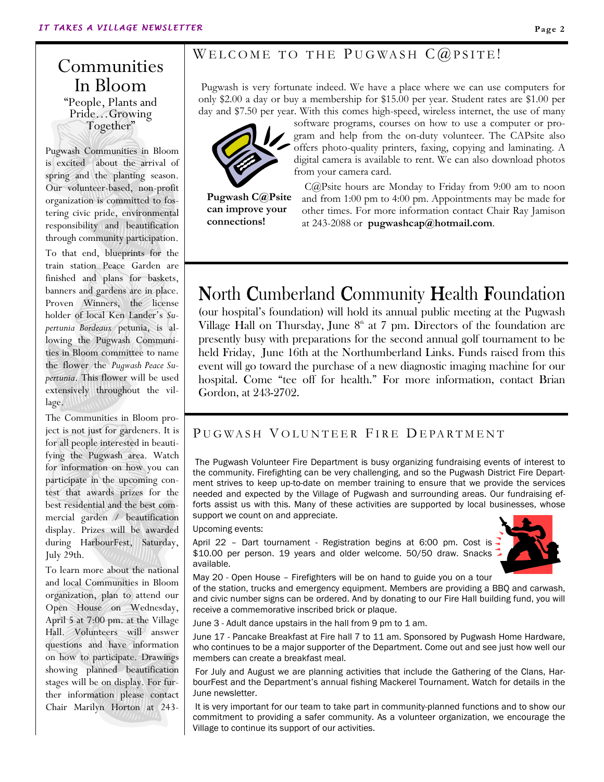## Communities In Bloom "People, Plants and Pride…Growing Together"

Pugwash Communities in Bloom is excited about the arrival of spring and the planting season. Our volunteer-based, non-profit organization is committed to fostering civic pride, environmental responsibility and beautification through community participation.

To that end, blueprints for the train station Peace Garden are finished and plans for baskets, banners and gardens are in place. Proven Winners, the license holder of local Ken Lander's Supertunia Bordeaux petunia, is allowing the Pugwash Communities in Bloom committee to name the flower the Pugwash Peace Supertunia. This flower will be used extensively throughout the village.

The Communities in Bloom project is not just for gardeners. It is for all people interested in beautifying the Pugwash area. Watch for information on how you can participate in the upcoming contest that awards prizes for the best residential and the best commercial garden / beautification display. Prizes will be awarded during HarbourFest, Saturday, July 29th.

To learn more about the national and local Communities in Bloom organization, plan to attend our Open House on Wednesday, April 5 at 7:00 pm. at the Village Hall. Volunteers will answer questions and have information on how to participate. Drawings showing planned beautification stages will be on display. For further information please contact Chair Marilyn Horton at 243-

### WELCOME TO THE PUGWASH  $C@PSTTE!$

Pugwash is very fortunate indeed. We have a place where we can use computers for only \$2.00 a day or buy a membership for \$15.00 per year. Student rates are \$1.00 per day and \$7.50 per year. With this comes high-speed, wireless internet, the use of many



software programs, courses on how to use a computer or program and help from the on-duty volunteer. The CAPsite also offers photo-quality printers, faxing, copying and laminating. A digital camera is available to rent. We can also download photos from your camera card.

Pugwash C@Psite can improve your connections!

 C@Psite hours are Monday to Friday from 9:00 am to noon and from 1:00 pm to 4:00 pm. Appointments may be made for other times. For more information contact Chair Ray Jamison at 243-2088 or pugwashcap@hotmail.com.

## North Cumberland Community Health Foundation

(our hospital's foundation) will hold its annual public meeting at the Pugwash Village Hall on Thursday, June  $8<sup>th</sup>$  at 7 pm. Directors of the foundation are presently busy with preparations for the second annual golf tournament to be held Friday, June 16th at the Northumberland Links. Funds raised from this event will go toward the purchase of a new diagnostic imaging machine for our hospital. Come "tee off for health." For more information, contact Brian Gordon, at 243-2702.

### PUGWASH VOLUNTEER FIRE DEPARTMENT

 The Pugwash Volunteer Fire Department is busy organizing fundraising events of interest to the community. Firefighting can be very challenging, and so the Pugwash District Fire Department strives to keep up-to-date on member training to ensure that we provide the services needed and expected by the Village of Pugwash and surrounding areas. Our fundraising efforts assist us with this. Many of these activities are supported by local businesses, whose support we count on and appreciate.

#### Upcoming events:

April 22 - Dart tournament - Registration begins at 6:00 pm. Cost is -\$10.00 per person. 19 years and older welcome. 50/50 draw. Snacks available.



May 20 - Open House – Firefighters will be on hand to guide you on a tour

of the station, trucks and emergency equipment. Members are providing a BBQ and carwash, and civic number signs can be ordered. And by donating to our Fire Hall building fund, you will receive a commemorative inscribed brick or plaque.

June 3 - Adult dance upstairs in the hall from 9 pm to 1 am.

June 17 - Pancake Breakfast at Fire hall 7 to 11 am. Sponsored by Pugwash Home Hardware, who continues to be a major supporter of the Department. Come out and see just how well our members can create a breakfast meal.

 For July and August we are planning activities that include the Gathering of the Clans, HarbourFest and the Department's annual fishing Mackerel Tournament. Watch for details in the June newsletter.

 It is very important for our team to take part in community-planned functions and to show our commitment to providing a safer community. As a volunteer organization, we encourage the Village to continue its support of our activities.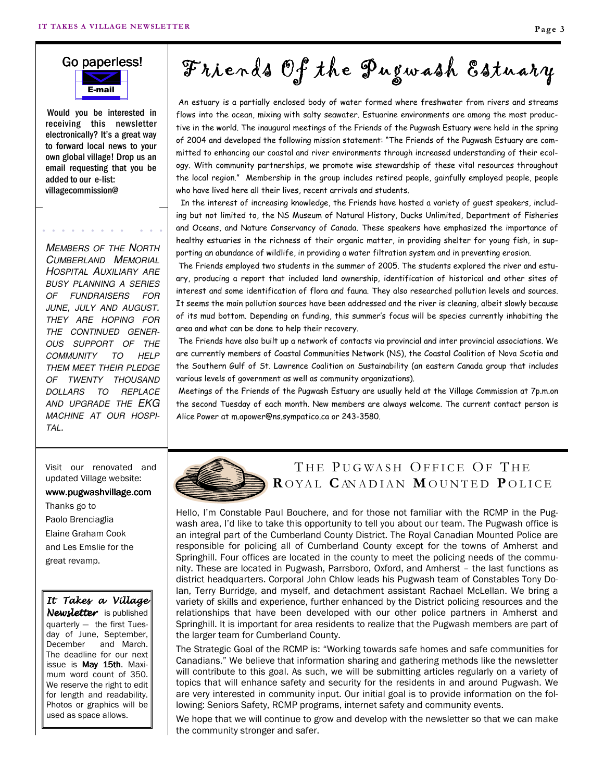## E-mail Go paperless!

 Would you be interested in receiving this newsletter electronically? It's a great way to forward local news to your own global village! Drop us an email requesting that you be added to our e-list: villagecommission@

MEMBERS OF THE NORTH CUMBERLAND MEMORIAL HOSPITAL AUXILIARY ARE BUSY PLANNING A SERIES OF FUNDRAISERS FOR JUNE, JULY AND AUGUST. THEY ARE HOPING FOR THE CONTINUED GENER-OUS SUPPORT OF THE COMMUNITY TO HELP THEM MEET THEIR PLEDGE OF TWENTY THOUSAND DOLLARS TO REPLACE AND UPGRADE THE EKG MACHINE AT OUR HOSPI-TAL.

Visit our renovated and updated Village website:

#### www.pugwashvillage.com

Thanks go to Paolo Brenciaglia Elaine Graham Cook and Les Emslie for the great revamp.

#### It Takes a Village Newsletter is published quarterly — the first Tuesday of June, September, December and March. The deadline for our next issue is May 15th. Maximum word count of 350. We reserve the right to edit for length and readability. Photos or graphics will be used as space allows.

Friends Of the Pugwash Estuary

 An estuary is a partially enclosed body of water formed where freshwater from rivers and streams flows into the ocean, mixing with salty seawater. Estuarine environments are among the most productive in the world. The inaugural meetings of the Friends of the Pugwash Estuary were held in the spring of 2004 and developed the following mission statement: "The Friends of the Pugwash Estuary are committed to enhancing our coastal and river environments through increased understanding of their ecology. With community partnerships, we promote wise stewardship of these vital resources throughout the local region." Membership in the group includes retired people, gainfully employed people, people who have lived here all their lives, recent arrivals and students.

 In the interest of increasing knowledge, the Friends have hosted a variety of guest speakers, including but not limited to, the NS Museum of Natural History, Ducks Unlimited, Department of Fisheries and Oceans, and Nature Conservancy of Canada. These speakers have emphasized the importance of healthy estuaries in the richness of their organic matter, in providing shelter for young fish, in supporting an abundance of wildlife, in providing a water filtration system and in preventing erosion.

 The Friends employed two students in the summer of 2005. The students explored the river and estuary, producing a report that included land ownership, identification of historical and other sites of interest and some identification of flora and fauna. They also researched pollution levels and sources. It seems the main pollution sources have been addressed and the river is cleaning, albeit slowly because of its mud bottom. Depending on funding, this summer's focus will be species currently inhabiting the area and what can be done to help their recovery.

 The Friends have also built up a network of contacts via provincial and inter provincial associations. We are currently members of Coastal Communities Network (NS), the Coastal Coalition of Nova Scotia and the Southern Gulf of St. Lawrence Coalition on Sustainability (an eastern Canada group that includes various levels of government as well as community organizations).

 Meetings of the Friends of the Pugwash Estuary are usually held at the Village Commission at 7p.m.on the second Tuesday of each month. New members are always welcome. The current contact person is Alice Power at m.apower@ns.sympatico.ca or 243-3580.



## THE PUGWASH OFFICE OF THE ROYAL CANADIAN MOUNTED POLICE

Hello, I'm Constable Paul Bouchere, and for those not familiar with the RCMP in the Pugwash area, I'd like to take this opportunity to tell you about our team. The Pugwash office is an integral part of the Cumberland County District. The Royal Canadian Mounted Police are responsible for policing all of Cumberland County except for the towns of Amherst and Springhill. Four offices are located in the county to meet the policing needs of the community. These are located in Pugwash, Parrsboro, Oxford, and Amherst – the last functions as district headquarters. Corporal John Chlow leads his Pugwash team of Constables Tony Dolan, Terry Burridge, and myself, and detachment assistant Rachael McLellan. We bring a variety of skills and experience, further enhanced by the District policing resources and the relationships that have been developed with our other police partners in Amherst and Springhill. It is important for area residents to realize that the Pugwash members are part of the larger team for Cumberland County.

The Strategic Goal of the RCMP is: "Working towards safe homes and safe communities for Canadians." We believe that information sharing and gathering methods like the newsletter will contribute to this goal. As such, we will be submitting articles regularly on a variety of topics that will enhance safety and security for the residents in and around Pugwash. We are very interested in community input. Our initial goal is to provide information on the following: Seniors Safety, RCMP programs, internet safety and community events.

We hope that we will continue to grow and develop with the newsletter so that we can make the community stronger and safer.